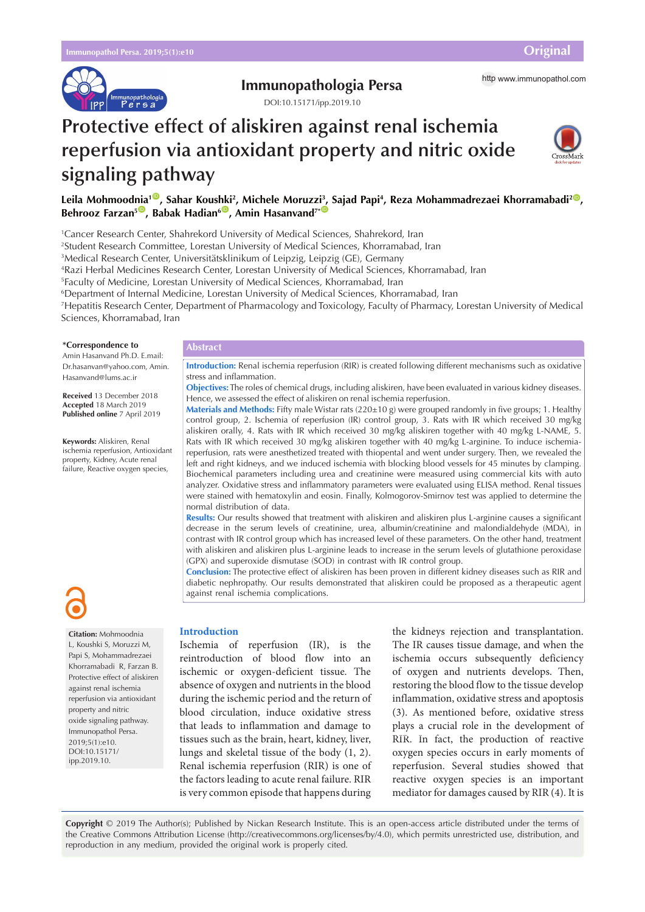

## **Immunopathologia Persa** http [www.immunopathol.com](http://www.immunopathol.com)

DOI[:10.15171/ipp.2019.10](https://doi.org/10.15171/ipp.2019.10)

# **Protective effect of aliskiren against renal ischemia reperfusion via antioxidant property and nitric oxide signaling pathway**



Leila Mohmood[nia](http://orcid.org/0000-0001-6443-6258)<sup>10)</sup>, Sahar Kous[hki](http://orcid.org/0000-0002-0573-7293)<sup>2</sup>, Michele Moruzzi<sup>3</sup>, Sajad Papi<sup>4</sup>, Reza Mohammadrezaei Khorramabadi<sup>20</sup>, **Behrooz Farzan<sup>5</sup><sup>®</sup>, Babak Hadian<sup>6®</sup>, Amin Hasanvand<sup>7\*</sup>** 

1 Cancer Research Center, Shahrekord University of Medical Sciences, Shahrekord, Iran

2 Student Research Committee, Lorestan University of Medical Sciences, Khorramabad, Iran

3 Medical Research Center, Universitätsklinikum of Leipzig, Leipzig (GE), Germany

4 Razi Herbal Medicines Research Center, Lorestan University of Medical Sciences, Khorramabad, Iran

5 Faculty of Medicine, Lorestan University of Medical Sciences, Khorramabad, Iran

6 Department of Internal Medicine, Lorestan University of Medical Sciences, Khorramabad, Iran

7 Hepatitis Research Center, Department of Pharmacology and Toxicology, Faculty of Pharmacy, Lorestan University of Medical Sciences, Khorramabad, Iran

#### **\*Correspondence to**

Amin Hasanvand Ph.D. E.mail: Dr.hasanvan@yahoo.com, Amin. Hasanvand@lums.ac.ir

**Received** 13 December 2018 **Accepted** 18 March 2019 **Published online** 7 April 2019

**Keywords:** Aliskiren, Renal ischemia reperfusion, Antioxidant property, Kidney, Acute renal failure, Reactive oxygen species,



**Citation:** Mohmoodnia L, Koushki S, Moruzzi M, Papi S, Mohammadrezaei Khorramabadi R, Farzan B. Protective effect of aliskiren against renal ischemia reperfusion via antioxidant property and nitric oxide signaling pathway. Immunopathol Persa. 2019;5(1):e10. DOI:10.15171/ ipp.2019.10.

## **Abstract**

**Introduction:** Renal ischemia reperfusion (RIR) is created following different mechanisms such as oxidative stress and inflammation.

**Objectives:** The roles of chemical drugs, including aliskiren, have been evaluated in various kidney diseases. Hence, we assessed the effect of aliskiren on renal ischemia reperfusion.

**Materials and Methods:** Fifty male Wistar rats (220±10 g) were grouped randomly in five groups; 1. Healthy control group, 2. Ischemia of reperfusion (IR) control group, 3. Rats with IR which received 30 mg/kg aliskiren orally, 4. Rats with IR which received 30 mg/kg aliskiren together with 40 mg/kg L-NAME, 5. Rats with IR which received 30 mg/kg aliskiren together with 40 mg/kg L-arginine. To induce ischemiareperfusion, rats were anesthetized treated with thiopental and went under surgery. Then, we revealed the left and right kidneys, and we induced ischemia with blocking blood vessels for 45 minutes by clamping. Biochemical parameters including urea and creatinine were measured using commercial kits with auto analyzer. Oxidative stress and inflammatory parameters were evaluated using ELISA method. Renal tissues were stained with hematoxylin and eosin. Finally, Kolmogorov-Smirnov test was applied to determine the normal distribution of data.

**Results:** Our results showed that treatment with aliskiren and aliskiren plus L-arginine causes a significant decrease in the serum levels of creatinine, urea, albumin/creatinine and malondialdehyde (MDA), in contrast with IR control group which has increased level of these parameters. On the other hand, treatment with aliskiren and aliskiren plus L-arginine leads to increase in the serum levels of glutathione peroxidase (GPX) and superoxide dismutase (SOD) in contrast with IR control group.

**Conclusion:** The protective effect of aliskiren has been proven in different kidney diseases such as RIR and diabetic nephropathy. Our results demonstrated that aliskiren could be proposed as a therapeutic agent against renal ischemia complications.

## **Introduction**

Ischemia of reperfusion (IR), is the reintroduction of blood flow into an ischemic or oxygen-deficient tissue. The absence of oxygen and nutrients in the blood during the ischemic period and the return of blood circulation, induce oxidative stress that leads to inflammation and damage to tissues such as the brain, heart, kidney, liver, lungs and skeletal tissue of the body (1, 2). Renal ischemia reperfusion (RIR) is one of the factors leading to acute renal failure. RIR is very common episode that happens during

the kidneys rejection and transplantation. The IR causes tissue damage, and when the ischemia occurs subsequently deficiency of oxygen and nutrients develops. Then, restoring the blood flow to the tissue develop inflammation, oxidative stress and apoptosis (3). As mentioned before, oxidative stress plays a crucial role in the development of RIR. In fact, the production of reactive oxygen species occurs in early moments of reperfusion. Several studies showed that reactive oxygen species is an important mediator for damages caused by RIR (4). It is

**Copyright** © 2019 The Author(s); Published by Nickan Research Institute. This is an open-access article distributed under the terms of the Creative Commons Attribution License (http://creativecommons.org/licenses/by/4.0), which permits unrestricted use, distribution, and reproduction in any medium, provided the original work is properly cited.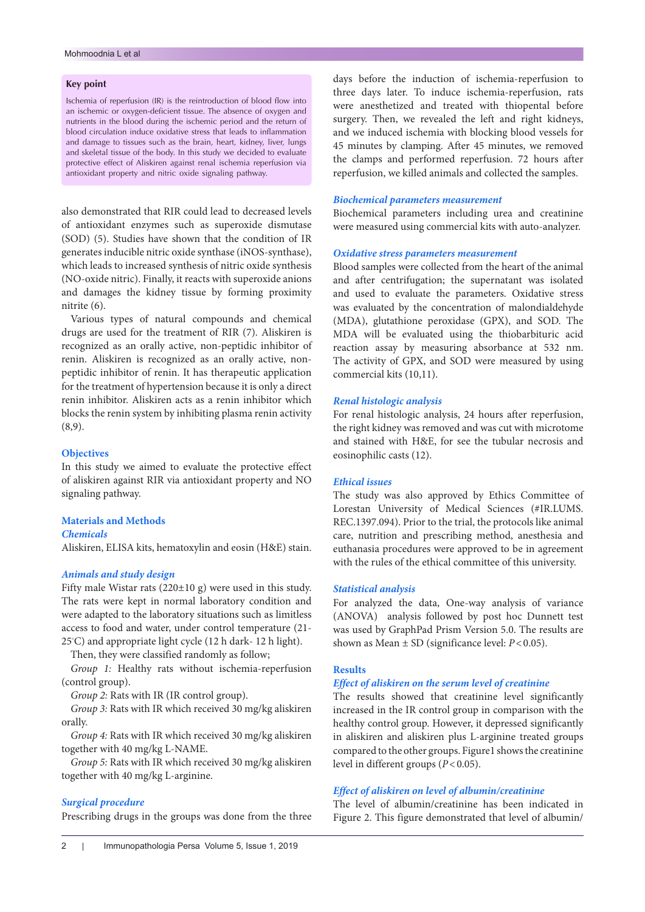## Mohmoodnia L et al

## **Key point**

Ischemia of reperfusion (IR) is the reintroduction of blood flow into an ischemic or oxygen-deficient tissue. The absence of oxygen and nutrients in the blood during the ischemic period and the return of blood circulation induce oxidative stress that leads to inflammation and damage to tissues such as the brain, heart, kidney, liver, lungs and skeletal tissue of the body. In this study we decided to evaluate protective effect of Aliskiren against renal ischemia reperfusion via antioxidant property and nitric oxide signaling pathway.

also demonstrated that RIR could lead to decreased levels of antioxidant enzymes such as superoxide dismutase (SOD) (5). Studies have shown that the condition of IR generates inducible nitric oxide synthase (iNOS-synthase), which leads to increased synthesis of nitric oxide synthesis (NO-oxide nitric). Finally, it reacts with superoxide anions and damages the kidney tissue by forming proximity nitrite (6).

Various types of natural compounds and chemical drugs are used for the treatment of RIR (7). Aliskiren is recognized as an orally active, non-peptidic inhibitor of renin. Aliskiren is recognized as an orally active, nonpeptidic inhibitor of renin. It has therapeutic application for the treatment of hypertension because it is only a direct renin inhibitor. Aliskiren acts as a renin inhibitor which blocks the renin system by inhibiting plasma renin activity  $(8,9).$ 

## **Objectives**

In this study we aimed to evaluate the protective effect of aliskiren against RIR via antioxidant property and NO signaling pathway.

## **Materials and Methods**

#### *Chemicals*

Aliskiren, ELISA kits, hematoxylin and eosin (H&E) stain.

## *Animals and study design*

Fifty male Wistar rats  $(220 \pm 10 \text{ g})$  were used in this study. The rats were kept in normal laboratory condition and were adapted to the laboratory situations such as limitless access to food and water, under control temperature (21- 25◦ C) and appropriate light cycle (12 h dark- 12 h light).

Then, they were classified randomly as follow;

*Group 1:* Healthy rats without ischemia-reperfusion (control group).

*Group 2:* Rats with IR (IR control group).

*Group 3:* Rats with IR which received 30 mg/kg aliskiren orally.

*Group 4:* Rats with IR which received 30 mg/kg aliskiren together with 40 mg/kg L-NAME.

*Group 5:* Rats with IR which received 30 mg/kg aliskiren together with 40 mg/kg L-arginine.

## *Surgical procedure*

Prescribing drugs in the groups was done from the three

days before the induction of ischemia-reperfusion to three days later. To induce ischemia-reperfusion, rats were anesthetized and treated with thiopental before surgery. Then, we revealed the left and right kidneys, and we induced ischemia with blocking blood vessels for 45 minutes by clamping. After 45 minutes, we removed the clamps and performed reperfusion. 72 hours after reperfusion, we killed animals and collected the samples.

## *Biochemical parameters measurement*

Biochemical parameters including urea and creatinine were measured using commercial kits with auto-analyzer.

## *Oxidative stress parameters measurement*

Blood samples were collected from the heart of the animal and after centrifugation; the supernatant was isolated and used to evaluate the parameters. Oxidative stress was evaluated by the concentration of malondialdehyde (MDA), glutathione peroxidase (GPX), and SOD. The MDA will be evaluated using the thiobarbituric acid reaction assay by measuring absorbance at 532 nm. The activity of GPX, and SOD were measured by using commercial kits (10,11).

## *Renal histologic analysis*

For renal histologic analysis, 24 hours after reperfusion, the right kidney was removed and was cut with microtome and stained with H&E, for see the tubular necrosis and eosinophilic casts (12).

## *Ethical issues*

The study was also approved by Ethics Committee of Lorestan University of Medical Sciences (#IR.LUMS. REC.1397.094). Prior to the trial, the protocols like animal care, nutrition and prescribing method, anesthesia and euthanasia procedures were approved to be in agreement with the rules of the ethical committee of this university.

## *Statistical analysis*

For analyzed the data, One-way analysis of variance (ANOVA) analysis followed by post hoc Dunnett test was used by GraphPad Prism Version 5.0. The results are shown as Mean  $\pm$  SD (significance level: *P*<0.05).

## **Results**

## *Effect of aliskiren on the serum level of creatinine*

The results showed that creatinine level significantly increased in the IR control group in comparison with the healthy control group. However, it depressed significantly in aliskiren and aliskiren plus L-arginine treated groups compared to the other groups. Figure1 shows the creatinine level in different groups (*P*<0.05).

## *Effect of aliskiren on level of albumin/creatinine*

The level of albumin/creatinine has been indicated in Figure 2. This figure demonstrated that level of albumin/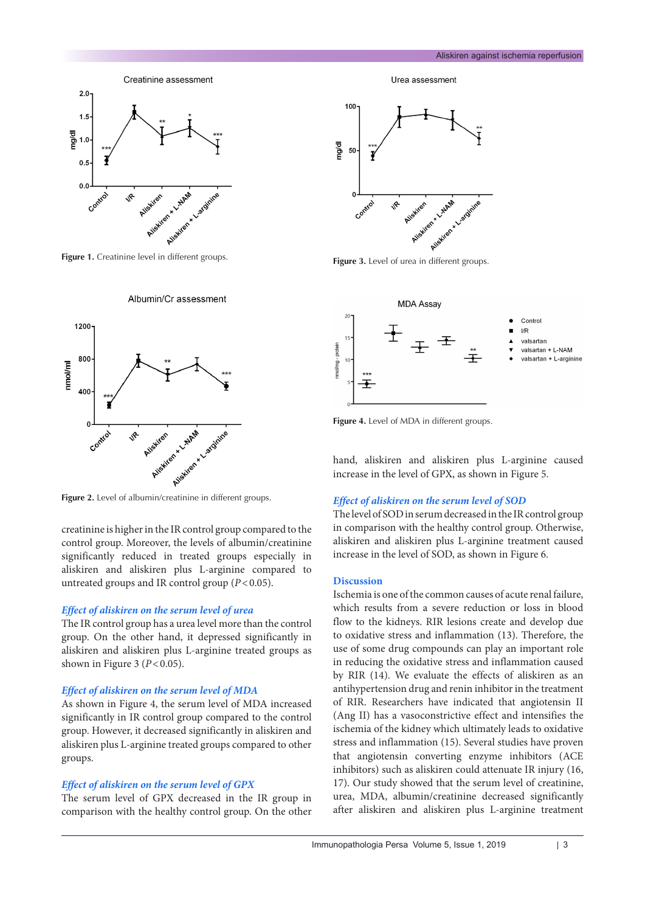

**Figure 1.** Creatinine level in different groups. **Figure 3.** Level of urea in different groups.

Albumin/Cr assessment



**Figure 2.** Level of albumin/creatinine in different groups.

creatinine is higher in the IR control group compared to the control group. Moreover, the levels of albumin/creatinine significantly reduced in treated groups especially in aliskiren and aliskiren plus L-arginine compared to untreated groups and IR control group  $(P<0.05)$ .

## *Effect of aliskiren on the serum level of urea*

The IR control group has a urea level more than the control group. On the other hand, it depressed significantly in aliskiren and aliskiren plus L-arginine treated groups as shown in Figure 3 ( $P < 0.05$ ).

## *Effect of aliskiren on the serum level of MDA*

As shown in Figure 4, the serum level of MDA increased significantly in IR control group compared to the control group. However, it decreased significantly in aliskiren and aliskiren plus L-arginine treated groups compared to other groups.

## *Effect of aliskiren on the serum level of GPX*

The serum level of GPX decreased in the IR group in comparison with the healthy control group. On the other







**Figure 4.** Level of MDA in different groups.

hand, aliskiren and aliskiren plus L-arginine caused increase in the level of GPX, as shown in Figure 5.

## *Effect of aliskiren on the serum level of SOD*

The level of SOD in serum decreased in the IR control group in comparison with the healthy control group. Otherwise, aliskiren and aliskiren plus L-arginine treatment caused increase in the level of SOD, as shown in Figure 6.

## **Discussion**

Ischemia is one of the common causes of acute renal failure, which results from a severe reduction or loss in blood flow to the kidneys. RIR lesions create and develop due to oxidative stress and inflammation (13). Therefore, the use of some drug compounds can play an important role in reducing the oxidative stress and inflammation caused by RIR (14). We evaluate the effects of aliskiren as an antihypertension drug and renin inhibitor in the treatment of RIR. Researchers have indicated that angiotensin II (Ang II) has a vasoconstrictive effect and intensifies the ischemia of the kidney which ultimately leads to oxidative stress and inflammation (15). Several studies have proven that angiotensin converting enzyme inhibitors (ACE inhibitors) such as aliskiren could attenuate IR injury (16, 17). Our study showed that the serum level of creatinine, urea, MDA, albumin/creatinine decreased significantly after aliskiren and aliskiren plus L-arginine treatment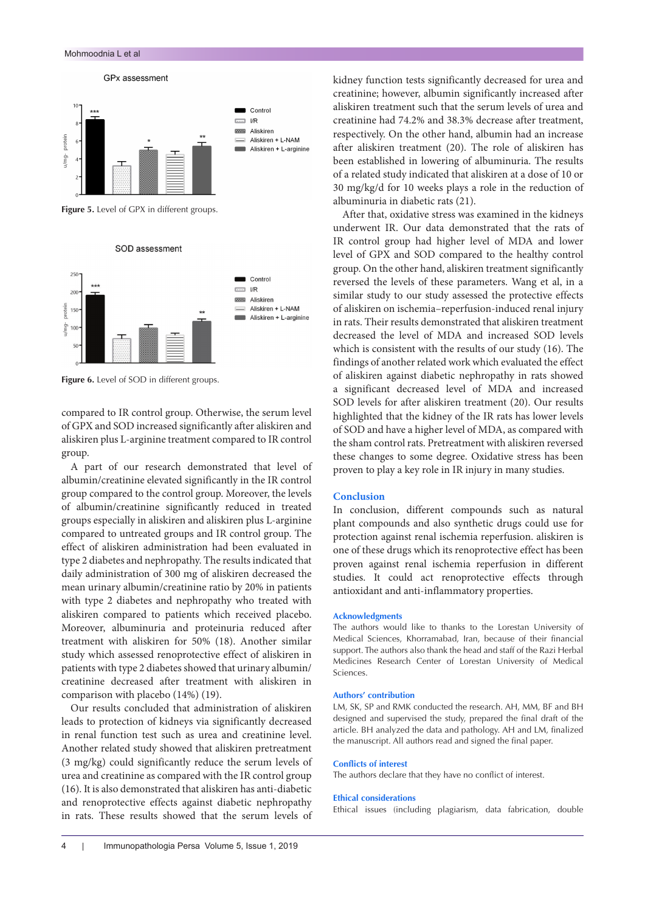

SOD assessment



**Figure 6.** Level of SOD in different groups.

compared to IR control group. Otherwise, the serum level of GPX and SOD increased significantly after aliskiren and aliskiren plus L-arginine treatment compared to IR control group.

A part of our research demonstrated that level of albumin/creatinine elevated significantly in the IR control group compared to the control group. Moreover, the levels of albumin/creatinine significantly reduced in treated groups especially in aliskiren and aliskiren plus L-arginine compared to untreated groups and IR control group. The effect of aliskiren administration had been evaluated in type 2 diabetes and nephropathy. The results indicated that daily administration of 300 mg of aliskiren decreased the mean urinary albumin/creatinine ratio by 20% in patients with type 2 diabetes and nephropathy who treated with aliskiren compared to patients which received placebo. Moreover, albuminuria and proteinuria reduced after treatment with aliskiren for 50% (18). Another similar study which assessed renoprotective effect of aliskiren in patients with type 2 diabetes showed that urinary albumin/ creatinine decreased after treatment with aliskiren in comparison with placebo (14%) (19).

Our results concluded that administration of aliskiren leads to protection of kidneys via significantly decreased in renal function test such as urea and creatinine level. Another related study showed that aliskiren pretreatment (3 mg/kg) could significantly reduce the serum levels of urea and creatinine as compared with the IR control group (16). It is also demonstrated that aliskiren has anti-diabetic and renoprotective effects against diabetic nephropathy in rats. These results showed that the serum levels of kidney function tests significantly decreased for urea and creatinine; however, albumin significantly increased after aliskiren treatment such that the serum levels of urea and creatinine had 74.2% and 38.3% decrease after treatment, respectively. On the other hand, albumin had an increase after aliskiren treatment (20). The role of aliskiren has been established in lowering of albuminuria. The results of a related study indicated that aliskiren at a dose of 10 or 30 mg/kg/d for 10 weeks plays a role in the reduction of albuminuria in diabetic rats (21).

After that, oxidative stress was examined in the kidneys underwent IR. Our data demonstrated that the rats of IR control group had higher level of MDA and lower level of GPX and SOD compared to the healthy control group. On the other hand, aliskiren treatment significantly reversed the levels of these parameters. Wang et al, in a similar study to our study assessed the protective effects of aliskiren on ischemia–reperfusion-induced renal injury in rats. Their results demonstrated that aliskiren treatment decreased the level of MDA and increased SOD levels which is consistent with the results of our study (16). The findings of another related work which evaluated the effect of aliskiren against diabetic nephropathy in rats showed a significant decreased level of MDA and increased SOD levels for after aliskiren treatment (20). Our results highlighted that the kidney of the IR rats has lower levels of SOD and have a higher level of MDA, as compared with the sham control rats. Pretreatment with aliskiren reversed these changes to some degree. Oxidative stress has been proven to play a key role in IR injury in many studies.

## **Conclusion**

In conclusion, different compounds such as natural plant compounds and also synthetic drugs could use for protection against renal ischemia reperfusion. aliskiren is one of these drugs which its renoprotective effect has been proven against renal ischemia reperfusion in different studies. It could act renoprotective effects through antioxidant and anti-inflammatory properties.

#### **Acknowledgments**

The authors would like to thanks to the Lorestan University of Medical Sciences, Khorramabad, Iran, because of their financial support. The authors also thank the head and staff of the Razi Herbal Medicines Research Center of Lorestan University of Medical Sciences.

#### **Authors' contribution**

LM, SK, SP and RMK conducted the research. AH, MM, BF and BH designed and supervised the study, prepared the final draft of the article. BH analyzed the data and pathology. AH and LM, finalized the manuscript. All authors read and signed the final paper.

## **Conflicts of interest**

The authors declare that they have no conflict of interest.

#### **Ethical considerations**

Ethical issues (including plagiarism, data fabrication, double